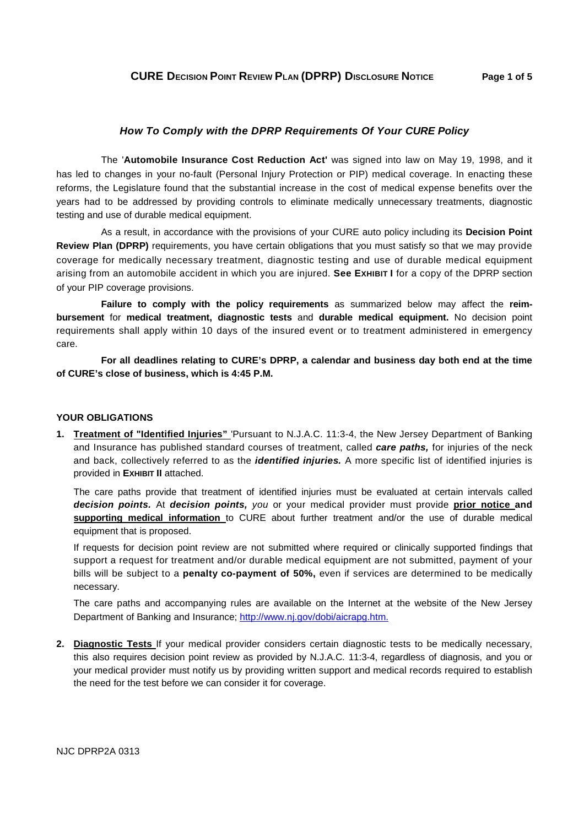## **How To Comply with the DPRP Requirements Of Your CURE Policy**

The '**Automobile Insurance Cost Reduction Act'** was signed into law on May 19, 1998, and it has led to changes in your no-fault (Personal Injury Protection or PIP) medical coverage. In enacting these reforms, the Legislature found that the substantial increase in the cost of medical expense benefits over the years had to be addressed by providing controls to eliminate medically unnecessary treatments, diagnostic testing and use of durable medical equipment.

As a result, in accordance with the provisions of your CURE auto policy including its **Decision Point Review Plan (DPRP)** requirements, you have certain obligations that you must satisfy so that we may provide coverage for medically necessary treatment, diagnostic testing and use of durable medical equipment arising from an automobile accident in which you are injured. **See EXHIBIT I** for a copy of the DPRP section of your PIP coverage provisions.

**Failure to comply with the policy requirements** as summarized below may affect the **reimbursement** for **medical treatment, diagnostic tests** and **durable medical equipment.** No decision point requirements shall apply within 10 days of the insured event or to treatment administered in emergency care.

**For all deadlines relating to CURE's DPRP, a calendar and business day both end at the time of CURE's close of business, which is 4:45 P.M.**

## **YOUR OBLIGATIONS**

**1. Treatment of "Identified Injuries"** 'Pursuant to N.J.A.C. 11:3-4, the New Jersey Department of Banking and Insurance has published standard courses of treatment, called **care paths,** for injuries of the neck and back, collectively referred to as the **identified injuries.** A more specific list of identified injuries is provided in **EXHIBIT II** attached.

The care paths provide that treatment of identified injuries must be evaluated at certain intervals called **decision points.** At **decision points,** you or your medical provider must provide **prior notice and supporting medical information** to CURE about further treatment and/or the use of durable medical equipment that is proposed.

If requests for decision point review are not submitted where required or clinically supported findings that support a request for treatment and/or durable medical equipment are not submitted, payment of your bills will be subject to a **penalty co-payment of 50%,** even if services are determined to be medically necessary.

The care paths and accompanying rules are available on the Internet at the website of the New Jersey Department of Banking and Insurance; http://www.nj.gov/dobi/aicrapg.htm.

**2. Diagnostic Tests** If your medical provider considers certain diagnostic tests to be medically necessary, this also requires decision point review as provided by N.J.A.C. 11:3-4, regardless of diagnosis, and you or your medical provider must notify us by providing written support and medical records required to establish the need for the test before we can consider it for coverage.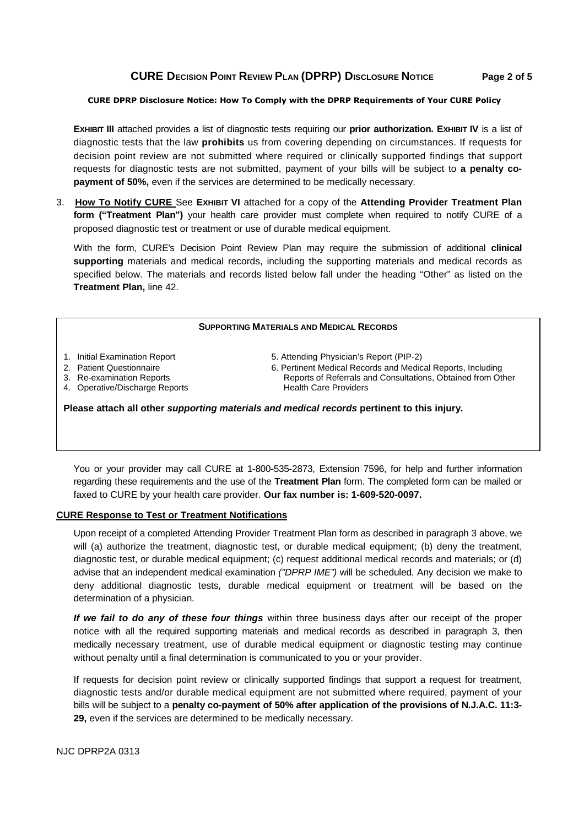# **CURE DECISION POINT REVIEW PLAN (DPRP) DISCLOSURE NOTICE Page 2 of 5**

#### **CURE DPRP Disclosure Notice: How To Comply with the DPRP Requirements of Your CURE Policy**

**EXHIBIT III** attached provides a list of diagnostic tests requiring our **prior authorization. EXHIBIT IV** is a list of diagnostic tests that the law **prohibits** us from covering depending on circumstances. If requests for decision point review are not submitted where required or clinically supported findings that support requests for diagnostic tests are not submitted, payment of your bills will be subject to **a penalty copayment of 50%,** even if the services are determined to be medically necessary.

3. **How To Notify CURE** See **EXHIBIT VI** attached for a copy of the **Attending Provider Treatment Plan form ("Treatment Plan")** your health care provider must complete when required to notify CURE of a proposed diagnostic test or treatment or use of durable medical equipment.

With the form, CURE's Decision Point Review Plan may require the submission of additional **clinical supporting** materials and medical records, including the supporting materials and medical records as specified below. The materials and records listed below fall under the heading "Other" as listed on the **Treatment Plan,** line 42.

#### **SUPPORTING MATERIALS AND MEDICAL RECORDS**

- 
- 
- 4. Operative/Discharge Reports **Health Care Providers**
- 1. Initial Examination Report 5. Attending Physician's Report (PIP-2)
- 2. Patient Questionnaire 6. Pertinent Medical Records and Medical Reports, Including 3. Re-examination Reports **Reports Reports of Referrals and Consultations**, Obtained from Other

**Please attach all other supporting materials and medical records pertinent to this injury.** 

You or your provider may call CURE at 1-800-535-2873, Extension 7596, for help and further information regarding these requirements and the use of the **Treatment Plan** form. The completed form can be mailed or faxed to CURE by your health care provider. **Our fax number is: 1-609-520-0097.** 

#### **CURE Response to Test or Treatment Notifications**

Upon receipt of a completed Attending Provider Treatment Plan form as described in paragraph 3 above, we will (a) authorize the treatment, diagnostic test, or durable medical equipment; (b) deny the treatment, diagnostic test, or durable medical equipment; (c) request additional medical records and materials; or (d) advise that an independent medical examination ("DPRP IME") will be scheduled. Any decision we make to deny additional diagnostic tests, durable medical equipment or treatment will be based on the determination of a physician.

**If we fail to do any of these four things** within three business days after our receipt of the proper notice with all the required supporting materials and medical records as described in paragraph 3, then medically necessary treatment, use of durable medical equipment or diagnostic testing may continue without penalty until a final determination is communicated to you or your provider.

If requests for decision point review or clinically supported findings that support a request for treatment, diagnostic tests and/or durable medical equipment are not submitted where required, payment of your bills will be subject to a **penalty co-payment of 50% after application of the provisions of N.J.A.C. 11:3- 29,** even if the services are determined to be medically necessary.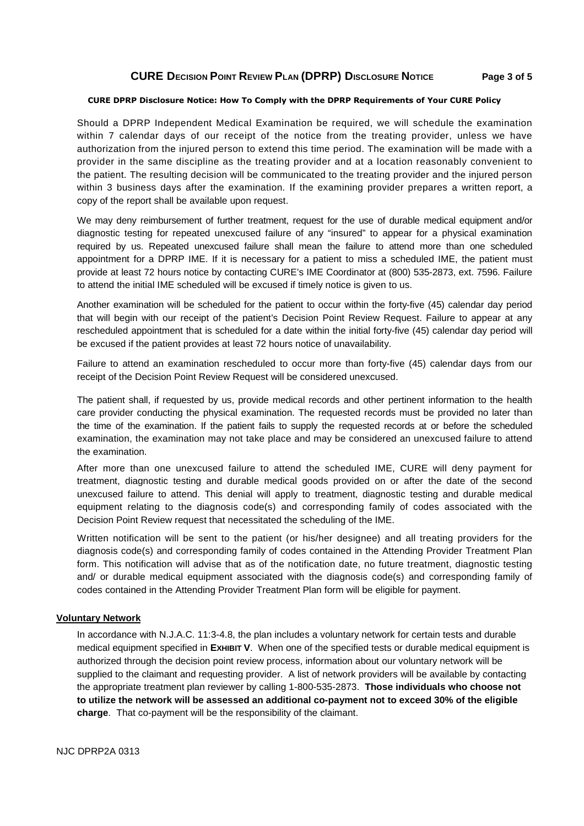# **CURE DECISION POINT REVIEW PLAN (DPRP) DISCLOSURE NOTICE Page 3 of 5**

#### **CURE DPRP Disclosure Notice: How To Comply with the DPRP Requirements of Your CURE Policy**

Should a DPRP Independent Medical Examination be required, we will schedule the examination within 7 calendar days of our receipt of the notice from the treating provider, unless we have authorization from the injured person to extend this time period. The examination will be made with a provider in the same discipline as the treating provider and at a location reasonably convenient to the patient. The resulting decision will be communicated to the treating provider and the injured person within 3 business days after the examination. If the examining provider prepares a written report, a copy of the report shall be available upon request.

We may deny reimbursement of further treatment, request for the use of durable medical equipment and/or diagnostic testing for repeated unexcused failure of any "insured" to appear for a physical examination required by us. Repeated unexcused failure shall mean the failure to attend more than one scheduled appointment for a DPRP IME. If it is necessary for a patient to miss a scheduled IME, the patient must provide at least 72 hours notice by contacting CURE's IME Coordinator at (800) 535-2873, ext. 7596. Failure to attend the initial IME scheduled will be excused if timely notice is given to us.

Another examination will be scheduled for the patient to occur within the forty-five (45) calendar day period that will begin with our receipt of the patient's Decision Point Review Request. Failure to appear at any rescheduled appointment that is scheduled for a date within the initial forty-five (45) calendar day period will be excused if the patient provides at least 72 hours notice of unavailability.

Failure to attend an examination rescheduled to occur more than forty-five (45) calendar days from our receipt of the Decision Point Review Request will be considered unexcused.

The patient shall, if requested by us, provide medical records and other pertinent information to the health care provider conducting the physical examination. The requested records must be provided no later than the time of the examination. If the patient fails to supply the requested records at or before the scheduled examination, the examination may not take place and may be considered an unexcused failure to attend the examination.

After more than one unexcused failure to attend the scheduled IME, CURE will deny payment for treatment, diagnostic testing and durable medical goods provided on or after the date of the second unexcused failure to attend. This denial will apply to treatment, diagnostic testing and durable medical equipment relating to the diagnosis code(s) and corresponding family of codes associated with the Decision Point Review request that necessitated the scheduling of the IME.

Written notification will be sent to the patient (or his/her designee) and all treating providers for the diagnosis code(s) and corresponding family of codes contained in the Attending Provider Treatment Plan form. This notification will advise that as of the notification date, no future treatment, diagnostic testing and/ or durable medical equipment associated with the diagnosis code(s) and corresponding family of codes contained in the Attending Provider Treatment Plan form will be eligible for payment.

#### **Voluntary Network**

In accordance with N.J.A.C. 11:3-4.8, the plan includes a voluntary network for certain tests and durable medical equipment specified in **EXHIBIT V**. When one of the specified tests or durable medical equipment is authorized through the decision point review process, information about our voluntary network will be supplied to the claimant and requesting provider. A list of network providers will be available by contacting the appropriate treatment plan reviewer by calling 1-800-535-2873. **Those individuals who choose not to utilize the network will be assessed an additional co-payment not to exceed 30% of the eligible charge**. That co-payment will be the responsibility of the claimant.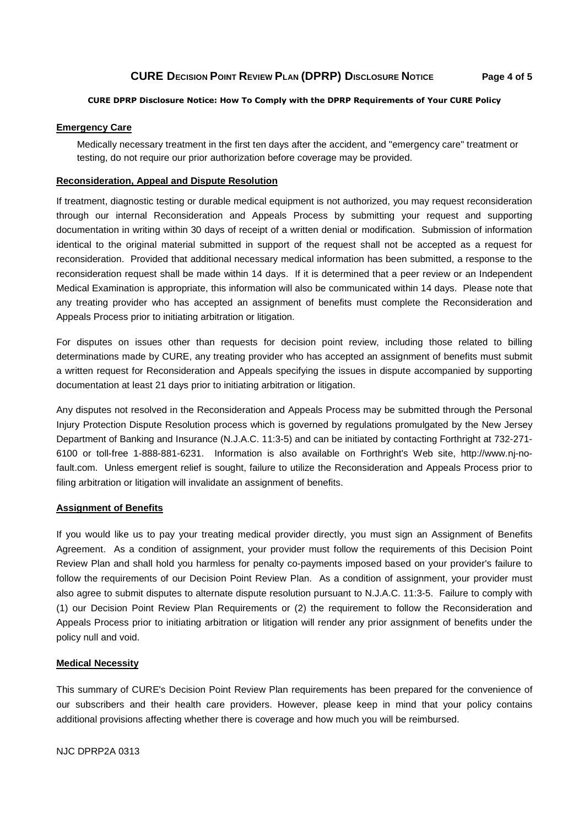# **CURE DECISION POINT REVIEW PLAN (DPRP) DISCLOSURE NOTICE Page 4 of 5**

#### **CURE DPRP Disclosure Notice: How To Comply with the DPRP Requirements of Your CURE Policy**

#### **Emergency Care**

Medically necessary treatment in the first ten days after the accident, and "emergency care" treatment or testing, do not require our prior authorization before coverage may be provided.

#### **Reconsideration, Appeal and Dispute Resolution**

If treatment, diagnostic testing or durable medical equipment is not authorized, you may request reconsideration through our internal Reconsideration and Appeals Process by submitting your request and supporting documentation in writing within 30 days of receipt of a written denial or modification. Submission of information identical to the original material submitted in support of the request shall not be accepted as a request for reconsideration. Provided that additional necessary medical information has been submitted, a response to the reconsideration request shall be made within 14 days. If it is determined that a peer review or an Independent Medical Examination is appropriate, this information will also be communicated within 14 days. Please note that any treating provider who has accepted an assignment of benefits must complete the Reconsideration and Appeals Process prior to initiating arbitration or litigation.

For disputes on issues other than requests for decision point review, including those related to billing determinations made by CURE, any treating provider who has accepted an assignment of benefits must submit a written request for Reconsideration and Appeals specifying the issues in dispute accompanied by supporting documentation at least 21 days prior to initiating arbitration or litigation.

Any disputes not resolved in the Reconsideration and Appeals Process may be submitted through the Personal Injury Protection Dispute Resolution process which is governed by regulations promulgated by the New Jersey Department of Banking and Insurance (N.J.A.C. 11:3-5) and can be initiated by contacting Forthright at 732-271- 6100 or toll-free 1-888-881-6231. Information is also available on Forthright's Web site, http://www.nj-nofault.com. Unless emergent relief is sought, failure to utilize the Reconsideration and Appeals Process prior to filing arbitration or litigation will invalidate an assignment of benefits.

#### **Assignment of Benefits**

If you would like us to pay your treating medical provider directly, you must sign an Assignment of Benefits Agreement. As a condition of assignment, your provider must follow the requirements of this Decision Point Review Plan and shall hold you harmless for penalty co-payments imposed based on your provider's failure to follow the requirements of our Decision Point Review Plan. As a condition of assignment, your provider must also agree to submit disputes to alternate dispute resolution pursuant to N.J.A.C. 11:3-5. Failure to comply with (1) our Decision Point Review Plan Requirements or (2) the requirement to follow the Reconsideration and Appeals Process prior to initiating arbitration or litigation will render any prior assignment of benefits under the policy null and void.

#### **Medical Necessity**

This summary of CURE's Decision Point Review Plan requirements has been prepared for the convenience of our subscribers and their health care providers. However, please keep in mind that your policy contains additional provisions affecting whether there is coverage and how much you will be reimbursed.

NJC DPRP2A 0313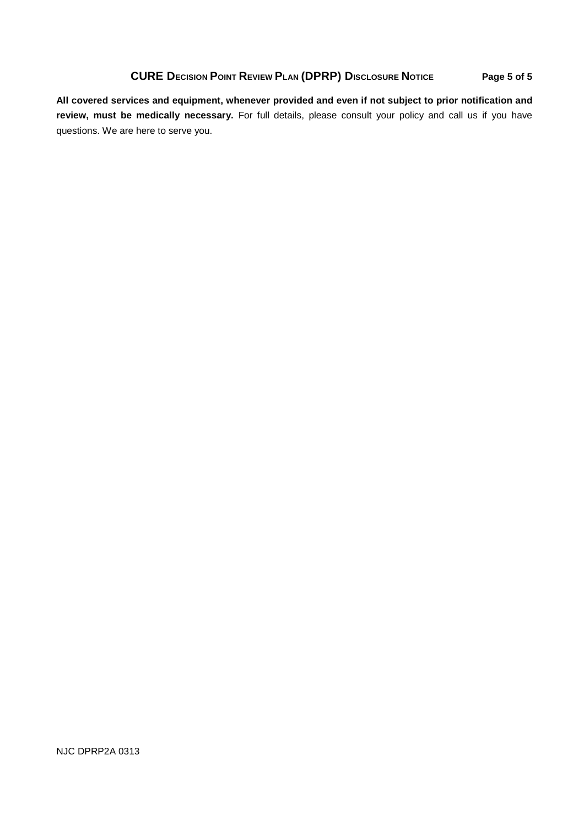# **CURE DECISION POINT REVIEW PLAN (DPRP) DISCLOSURE NOTICE Page 5 of 5**

**All covered services and equipment, whenever provided and even if not subject to prior notification and review, must be medically necessary.** For full details, please consult your policy and call us if you have questions. We are here to serve you.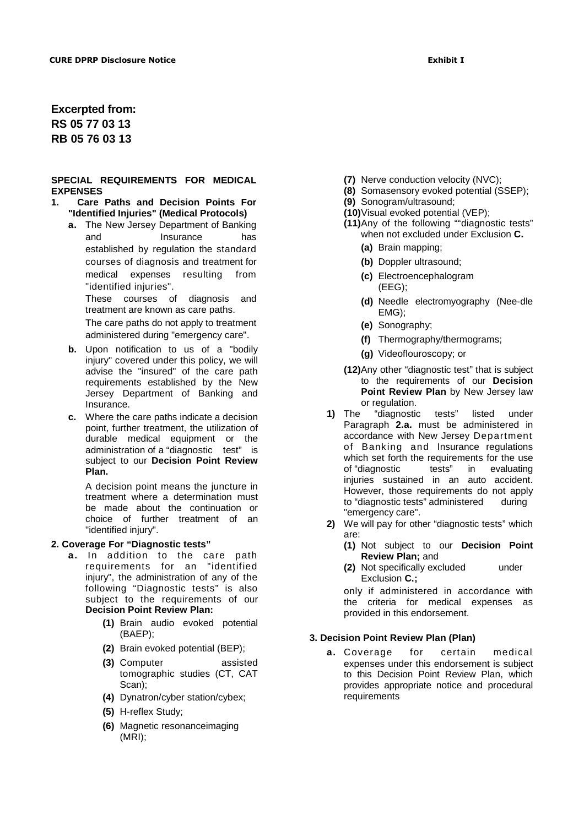**Excerpted from: RS 05 77 03 13 RB 05 76 03 13** 

#### **SPECIAL REQUIREMENTS FOR MEDICAL EXPENSES**

- **1. Care Paths and Decision Points For "Identified Injuries" (Medical Protocols)** 
	- **a.** The New Jersey Department of Banking and Insurance has established by regulation the standard courses of diagnosis and treatment for medical expenses resulting from "identified injuries".

These courses of diagnosis and treatment are known as care paths.

The care paths do not apply to treatment administered during "emergency care".

- **b.** Upon notification to us of a "bodily injury" covered under this policy, we will advise the "insured" of the care path requirements established by the New Jersey Department of Banking and Insurance.
- **c.** Where the care paths indicate a decision point, further treatment, the utilization of durable medical equipment or the administration of a "diagnostic test" is subject to our **Decision Point Review Plan.**

A decision point means the juncture in treatment where a determination must be made about the continuation or choice of further treatment of an "identified injury".

#### **2. Coverage For "Diagnostic tests"**

- **a.** In addition to the care path requirements for an "identified injury", the administration of any of the following "Diagnostic tests" is also subject to the requirements of our **Decision Point Review Plan:** 
	- **(1)** Brain audio evoked potential (BAEP);
	- **(2)** Brain evoked potential (BEP);
	- **(3)** Computer assisted tomographic studies (CT, CAT Scan);
	- **(4)** Dynatron/cyber station/cybex;
	- **(5)** H-reflex Study;
	- **(6)** Magnetic resonanceimaging (MRI);
- **(7)** Nerve conduction velocity (NVC);
- **(8)** Somasensory evoked potential (SSEP);
- **(9)** Sonogram/ultrasound;
- **(10)** Visual evoked potential (VEP);
- **(11)** Any of the following ""diagnostic tests" when not excluded under Exclusion **C.** 
	- **(a)** Brain mapping;
	- **(b)** Doppler ultrasound;
	- **(c)** Electroencephalogram (EEG);
	- **(d)** Needle electromyography (Nee-dle EMG);
	- **(e)** Sonography;
	- **(f)** Thermography/thermograms;
	- **(g)** Videoflouroscopy; or
- **(12)**Any other "diagnostic test" that is subject to the requirements of our **Decision Point Review Plan** by New Jersey law or regulation.
- **1)** The "diagnostic tests" listed under Paragraph **2.a.** must be administered in accordance with New Jersey Department of Banking and Insurance regulations which set forth the requirements for the use of "diagnostic tests" in evaluating injuries sustained in an auto accident. However, those requirements do not apply to "diagnostic tests" administered during "emergency care".
- **2)** We will pay for other "diagnostic tests" which are:
	- **(1)** Not subject to our **Decision Point Review Plan;** and
	- **(2)** Not specifically excluded under Exclusion **C.;**

only if administered in accordance with the criteria for medical expenses as provided in this endorsement.

#### **3. Decision Point Review Plan (Plan)**

**a.** Coverage for certain medical expenses under this endorsement is subject to this Decision Point Review Plan, which provides appropriate notice and procedural requirements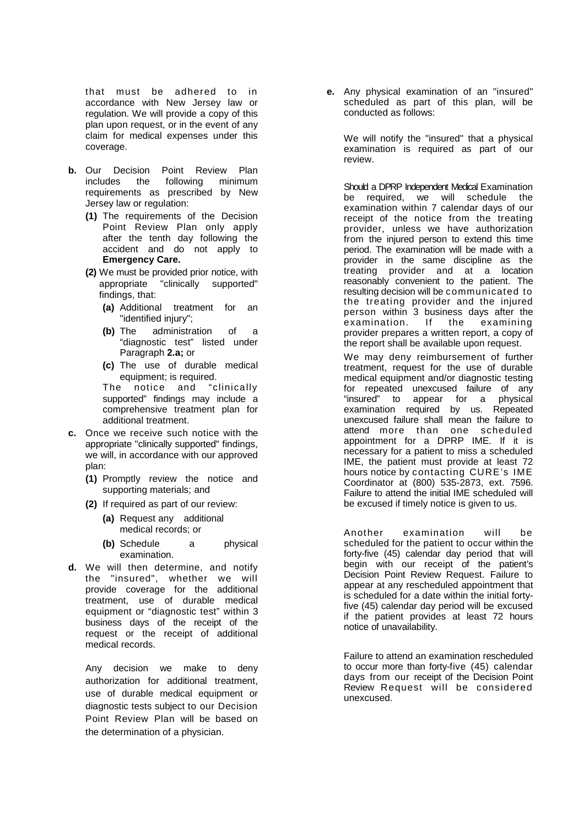that must be adhered to in accordance with New Jersey law or regulation. We will provide a copy of this plan upon request, or in the event of any claim for medical expenses under this coverage.

- **b.** Our Decision Point Review Plan includes the following minimum requirements as prescribed by New Jersey law or regulation:
	- **(1)** The requirements of the Decision Point Review Plan only apply after the tenth day following the accident and do not apply to **Emergency Care.**
	- **(2)** We must be provided prior notice, with appropriate "clinically supported" findings, that:
		- **(a)** Additional treatment for an "identified injury";
		- **(b)** The administration of a "diagnostic test" listed under Paragraph **2.a;** or
		- **(c)** The use of durable medical equipment; is required.

The notice and "clinically supported" findings may include a comprehensive treatment plan for additional treatment.

- **c.** Once we receive such notice with the appropriate "clinically supported" findings, we will, in accordance with our approved plan:
	- **(1)** Promptly review the notice and supporting materials; and
	- **(2)** If required as part of our review:
		- **(a)** Request any additional medical records; or
		- **(b)** Schedule a physical examination.
- **d.** We will then determine, and notify the "insured", whether we will provide coverage for the additional treatment, use of durable medical equipment or "diagnostic test" within 3 business days of the receipt of the request or the receipt of additional medical records.

Any decision we make to deny authorization for additional treatment, use of durable medical equipment or diagnostic tests subject to our Decision Point Review Plan will be based on the determination of a physician.

**e.** Any physical examination of an "insured" scheduled as part of this plan, will be conducted as follows:

We will notify the "insured" that a physical examination is required as part of our review.

Should a DPRP Independent Medical Examination be required, we will schedule the examination within 7 calendar days of our receipt of the notice from the treating provider, unless we have authorization from the injured person to extend this time period. The examination will be made with a provider in the same discipline as the treating provider and at a location reasonably convenient to the patient. The resulting decision will be communicated to the treating provider and the injured person within 3 business days after the examination. If the examining provider prepares a written report, a copy of the report shall be available upon request.

We may deny reimbursement of further treatment, request for the use of durable medical equipment and/or diagnostic testing for repeated unexcused failure of any "insured" to appear for a physical examination required by us. Repeated unexcused failure shall mean the failure to attend more than one scheduled appointment for a DPRP IME. If it is necessary for a patient to miss a scheduled IME, the patient must provide at least 72 hours notice by contacting CURE's IME Coordinator at (800) 535-2873, ext. 7596. Failure to attend the initial IME scheduled will be excused if timely notice is given to us.

Another examination will be scheduled for the patient to occur within the forty-five (45) calendar day period that will begin with our receipt of the patient's Decision Point Review Request. Failure to appear at any rescheduled appointment that is scheduled for a date within the initial fortyfive (45) calendar day period will be excused if the patient provides at least 72 hours notice of unavailability.

Failure to attend an examination rescheduled to occur more than forty-five (45) calendar days from our receipt of the Decision Point Review Request will be considered unexcused.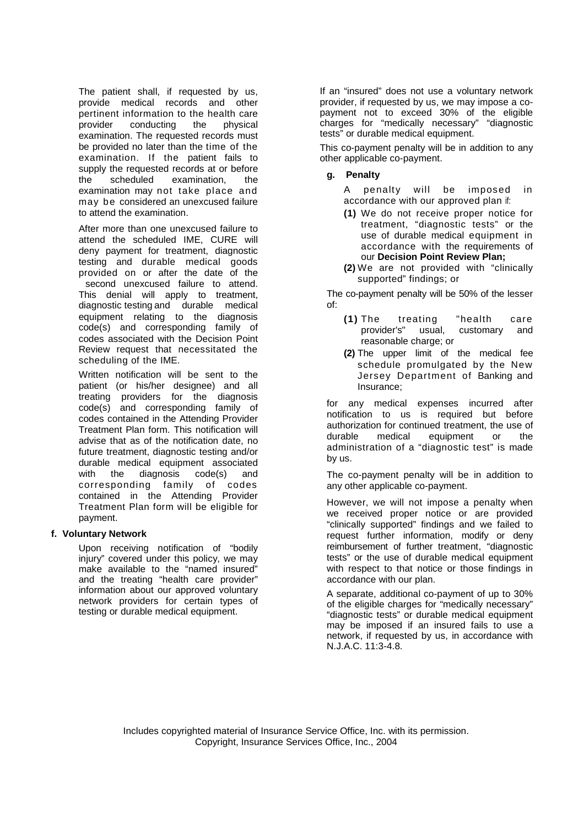The patient shall, if requested by us, provide medical records and other pertinent information to the health care provider conducting the physical examination. The requested records must be provided no later than the time of the examination. If the patient fails to supply the requested records at or before the scheduled examination, the examination may not take place and may be considered an unexcused failure to attend the examination.

After more than one unexcused failure to attend the scheduled IME, CURE will deny payment for treatment, diagnostic testing and durable medical goods provided on or after the date of the second unexcused failure to attend. This denial will apply to treatment, diagnostic testing and durable medical equipment relating to the diagnosis code(s) and corresponding family of codes associated with the Decision Point Review request that necessitated the scheduling of the IME.

Written notification will be sent to the patient (or his/her designee) and all treating providers for the diagnosis code(s) and corresponding family of codes contained in the Attending Provider Treatment Plan form. This notification will advise that as of the notification date, no future treatment, diagnostic testing and/or durable medical equipment associated with the diagnosis code(s) and corresponding family of codes contained in the Attending Provider Treatment Plan form will be eligible for payment.

#### **f. Voluntary Network**

Upon receiving notification of "bodily injury" covered under this policy, we may make available to the "named insured" and the treating "health care provider" information about our approved voluntary network providers for certain types of testing or durable medical equipment.

If an "insured" does not use a voluntary network provider, if requested by us, we may impose a copayment not to exceed 30% of the eligible charges for "medically necessary" "diagnostic tests" or durable medical equipment.

This co-payment penalty will be in addition to any other applicable co-payment.

### **g. Penalty**

A penalty will be imposed in accordance with our approved plan if:

- **(1)** We do not receive proper notice for treatment, "diagnostic tests" or the use of durable medical equipment in accordance with the requirements of our **Decision Point Review Plan;**
- **(2)** We are not provided with "clinically supported" findings; or

The co-payment penalty will be 50% of the lesser of:

- **(1)** The treating "health care provider's" usual, customary and reasonable charge; or
- **(2)** The upper limit of the medical fee schedule promulgated by the New Jersey Department of Banking and Insurance;

for any medical expenses incurred after notification to us is required but before authorization for continued treatment, the use of durable medical equipment or the administration of a "diagnostic test" is made by us.

The co-payment penalty will be in addition to any other applicable co-payment.

However, we will not impose a penalty when we received proper notice or are provided "clinically supported" findings and we failed to request further information, modify or deny reimbursement of further treatment, "diagnostic tests" or the use of durable medical equipment with respect to that notice or those findings in accordance with our plan.

A separate, additional co-payment of up to 30% of the eligible charges for "medically necessary" "diagnostic tests" or durable medical equipment may be imposed if an insured fails to use a network, if requested by us, in accordance with N.J.A.C. 11:3-4.8.

Includes copyrighted material of Insurance Service Office, Inc. with its permission. Copyright, Insurance Services Office, Inc., 2004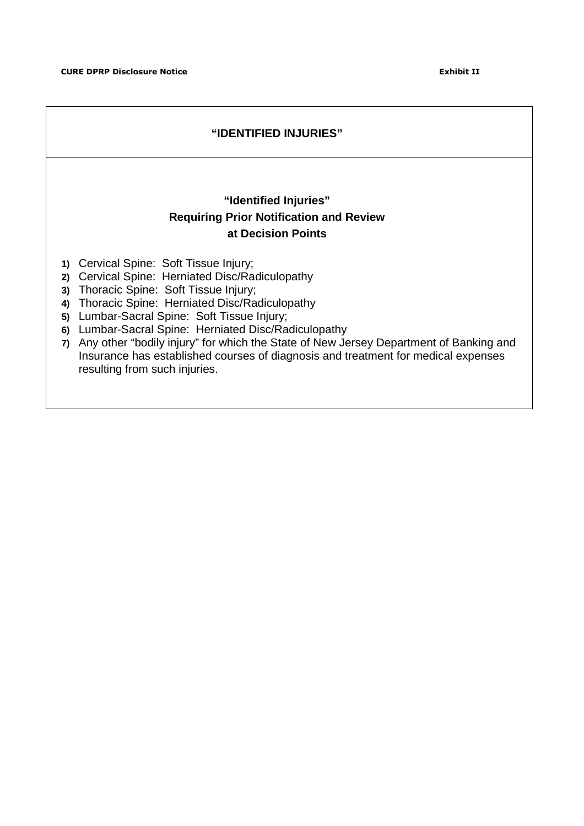resulting from such injuries.

# **"IDENTIFIED INJURIES" "Identified Injuries" Requiring Prior Notification and Review at Decision Points 1)** Cervical Spine: Soft Tissue Injury; **2)** Cervical Spine: Herniated Disc/Radiculopathy **3)** Thoracic Spine: Soft Tissue Injury; **4)** Thoracic Spine: Herniated Disc/Radiculopathy **5)** Lumbar-Sacral Spine: Soft Tissue Injury; **6)** Lumbar-Sacral Spine: Herniated Disc/Radiculopathy **7)** Any other "bodily injury" for which the State of New Jersey Department of Banking and Insurance has established courses of diagnosis and treatment for medical expenses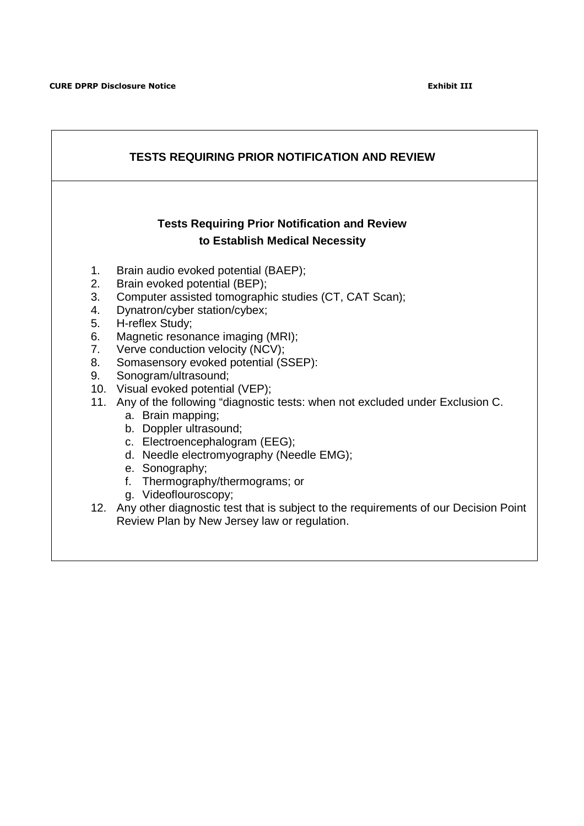| <b>Tests Requiring Prior Notification and Review</b><br>to Establish Medical Necessity<br>Brain audio evoked potential (BAEP);<br>1.<br>Brain evoked potential (BEP);<br>2.<br>Computer assisted tomographic studies (CT, CAT Scan);<br>3.<br>Dynatron/cyber station/cybex;<br>4.<br>H-reflex Study;<br>5.<br>Magnetic resonance imaging (MRI);<br>6.<br>Verve conduction velocity (NCV);<br>7.<br>Somasensory evoked potential (SSEP):<br>8.<br>Sonogram/ultrasound;<br>9.<br>10. Visual evoked potential (VEP);<br>11. Any of the following "diagnostic tests: when not excluded under Exclusion C.<br>a. Brain mapping;<br>b. Doppler ultrasound;<br>c. Electroencephalogram (EEG); | <b>TESTS REQUIRING PRIOR NOTIFICATION AND REVIEW</b> |                                          |  |  |  |  |  |  |  |
|----------------------------------------------------------------------------------------------------------------------------------------------------------------------------------------------------------------------------------------------------------------------------------------------------------------------------------------------------------------------------------------------------------------------------------------------------------------------------------------------------------------------------------------------------------------------------------------------------------------------------------------------------------------------------------------|------------------------------------------------------|------------------------------------------|--|--|--|--|--|--|--|
|                                                                                                                                                                                                                                                                                                                                                                                                                                                                                                                                                                                                                                                                                        |                                                      |                                          |  |  |  |  |  |  |  |
| e. Sonography;<br>f. Thermography/thermograms; or<br>g. Videoflouroscopy;<br>12. Any other diagnostic test that is subject to the requirements of our Decision Point<br>Review Plan by New Jersey law or regulation.                                                                                                                                                                                                                                                                                                                                                                                                                                                                   |                                                      | d. Needle electromyography (Needle EMG); |  |  |  |  |  |  |  |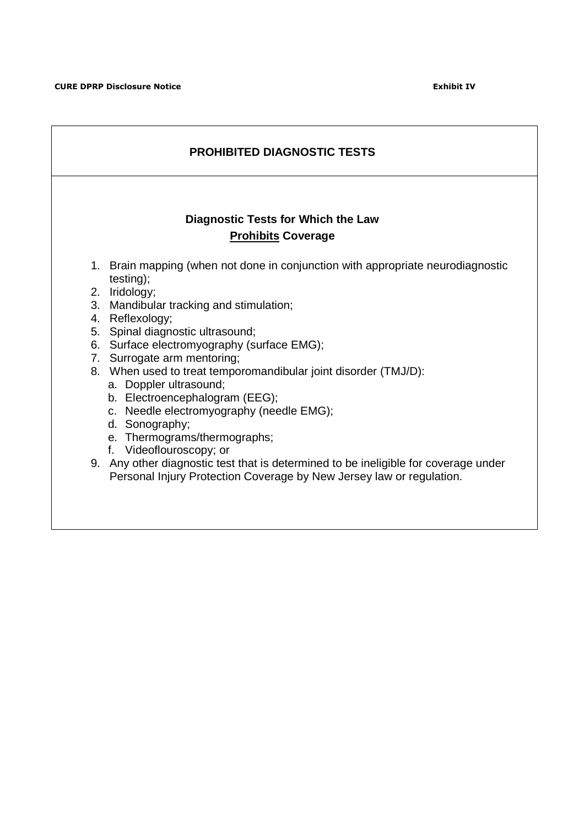| <b>PROHIBITED DIAGNOSTIC TESTS</b> |                                                                                                                                                                                                                                                                                                                                                                                                                                                                                                                                                                                                                                                                                                                     |  |  |  |  |  |  |  |
|------------------------------------|---------------------------------------------------------------------------------------------------------------------------------------------------------------------------------------------------------------------------------------------------------------------------------------------------------------------------------------------------------------------------------------------------------------------------------------------------------------------------------------------------------------------------------------------------------------------------------------------------------------------------------------------------------------------------------------------------------------------|--|--|--|--|--|--|--|
|                                    | Diagnostic Tests for Which the Law<br><b>Prohibits Coverage</b>                                                                                                                                                                                                                                                                                                                                                                                                                                                                                                                                                                                                                                                     |  |  |  |  |  |  |  |
|                                    | 1. Brain mapping (when not done in conjunction with appropriate neurodiagnostic<br>testing);<br>2. Iridology;<br>3. Mandibular tracking and stimulation;<br>4. Reflexology;<br>5. Spinal diagnostic ultrasound;<br>6. Surface electromyography (surface EMG);<br>7. Surrogate arm mentoring;<br>8. When used to treat temporomandibular joint disorder (TMJ/D):<br>a. Doppler ultrasound;<br>b. Electroencephalogram (EEG);<br>c. Needle electromyography (needle EMG);<br>d. Sonography;<br>e. Thermograms/thermographs;<br>f. Videoflouroscopy; or<br>9. Any other diagnostic test that is determined to be ineligible for coverage under<br>Personal Injury Protection Coverage by New Jersey law or regulation. |  |  |  |  |  |  |  |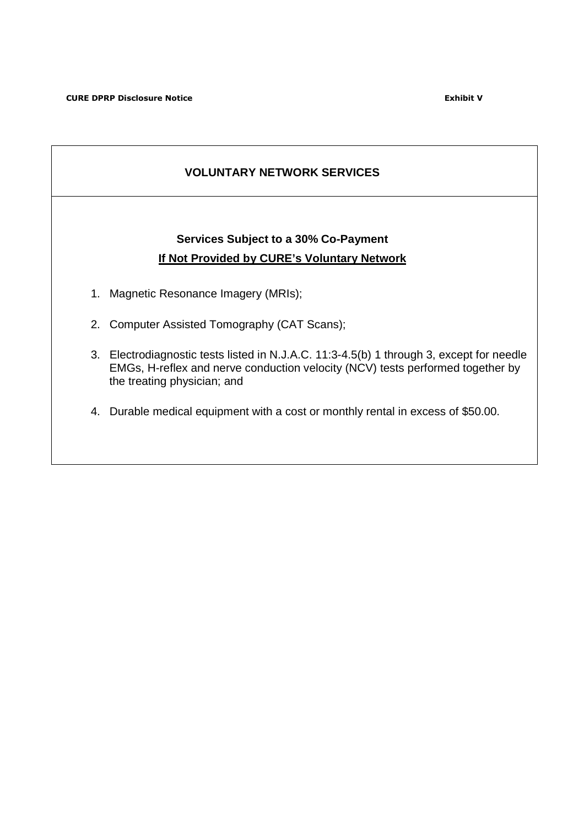# **VOLUNTARY NETWORK SERVICES**

# **Services Subject to a 30% Co-Payment If Not Provided by CURE's Voluntary Network**

- 1. Magnetic Resonance Imagery (MRIs);
- 2. Computer Assisted Tomography (CAT Scans);
- 3. Electrodiagnostic tests listed in N.J.A.C. 11:3-4.5(b) 1 through 3, except for needle EMGs, H-reflex and nerve conduction velocity (NCV) tests performed together by the treating physician; and
- 4. Durable medical equipment with a cost or monthly rental in excess of \$50.00.